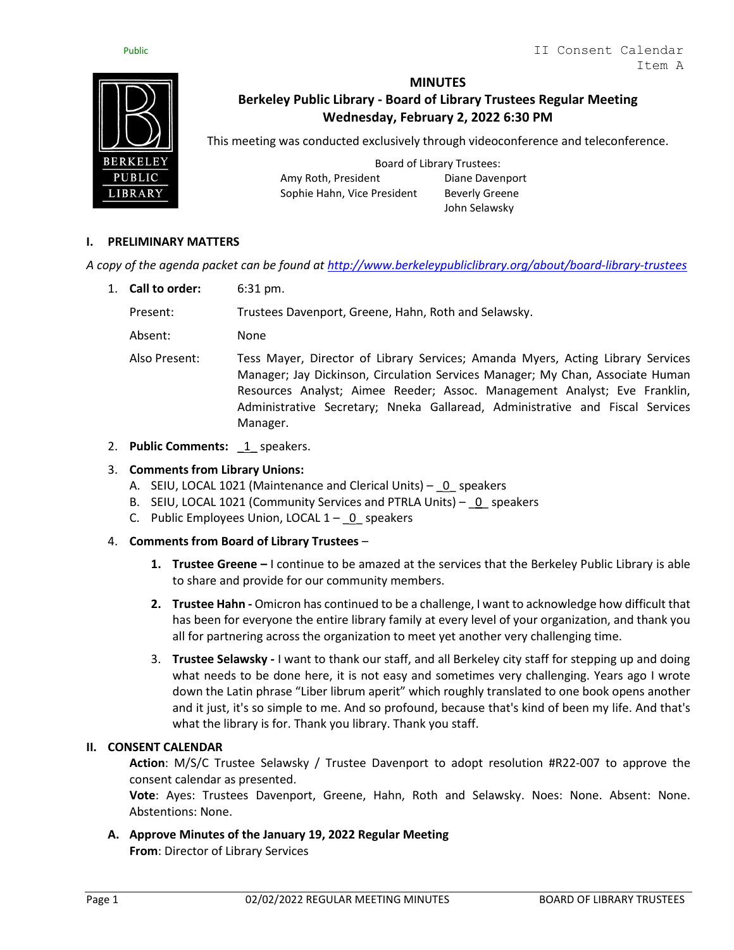



# **MINUTES**

# **Berkeley Public Library - Board of Library Trustees Regular Meeting Wednesday, February 2, 2022 6:30 PM**

This meeting was conducted exclusively through videoconference and teleconference.

Board of Library Trustees: Amy Roth, President Diane Davenport Sophie Hahn, Vice President Beverly Greene

John Selawsky

## **I. PRELIMINARY MATTERS**

*A copy of the agenda packet can be found at<http://www.berkeleypubliclibrary.org/about/board-library-trustees>*

1. **Call to order:** 6:31 pm.

Present: Trustees Davenport, Greene, Hahn, Roth and Selawsky.

Absent: None

Also Present: Tess Mayer, Director of Library Services; Amanda Myers, Acting Library Services Manager; Jay Dickinson, Circulation Services Manager; My Chan, Associate Human Resources Analyst; Aimee Reeder; Assoc. Management Analyst; Eve Franklin, Administrative Secretary; Nneka Gallaread, Administrative and Fiscal Services Manager.

2. **Public Comments:** 1 speakers.

### 3. **Comments from Library Unions:**

- A. SEIU, LOCAL 1021 (Maintenance and Clerical Units) 0 speakers
- B. SEIU, LOCAL 1021 (Community Services and PTRLA Units) 0 speakers
- C. Public Employees Union, LOCAL  $1 0$  speakers

#### 4. **Comments from Board of Library Trustees** –

- **1. Trustee Greene –** I continue to be amazed at the services that the Berkeley Public Library is able to share and provide for our community members.
- **2. Trustee Hahn -** Omicron has continued to be a challenge, I want to acknowledge how difficult that has been for everyone the entire library family at every level of your organization, and thank you all for partnering across the organization to meet yet another very challenging time.
- 3. **Trustee Selawsky -** I want to thank our staff, and all Berkeley city staff for stepping up and doing what needs to be done here, it is not easy and sometimes very challenging. Years ago I wrote down the Latin phrase "Liber librum aperit" which roughly translated to one book opens another and it just, it's so simple to me. And so profound, because that's kind of been my life. And that's what the library is for. Thank you library. Thank you staff.

#### **II. CONSENT CALENDAR**

**Action**: M/S/C Trustee Selawsky / Trustee Davenport to adopt resolution #R22-007 to approve the consent calendar as presented.

**Vote**: Ayes: Trustees Davenport, Greene, Hahn, Roth and Selawsky. Noes: None. Absent: None. Abstentions: None.

**A. Approve Minutes of the January 19, 2022 Regular Meeting From**: Director of Library Services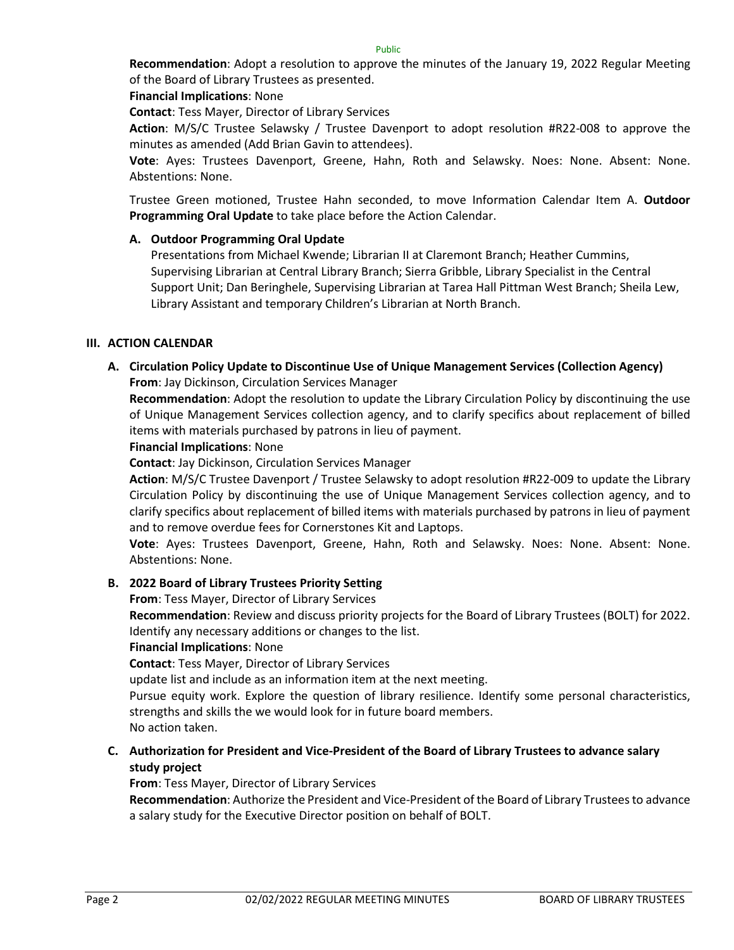Public

**Recommendation**: Adopt a resolution to approve the minutes of the January 19, 2022 Regular Meeting of the Board of Library Trustees as presented.

**Financial Implications**: None

**Contact**: Tess Mayer, Director of Library Services

**Action**: M/S/C Trustee Selawsky / Trustee Davenport to adopt resolution #R22-008 to approve the minutes as amended (Add Brian Gavin to attendees).

**Vote**: Ayes: Trustees Davenport, Greene, Hahn, Roth and Selawsky. Noes: None. Absent: None. Abstentions: None.

Trustee Green motioned, Trustee Hahn seconded, to move Information Calendar Item A. **Outdoor Programming Oral Update** to take place before the Action Calendar.

### **A. Outdoor Programming Oral Update**

Presentations from Michael Kwende; Librarian II at Claremont Branch; Heather Cummins, Supervising Librarian at Central Library Branch; Sierra Gribble, Library Specialist in the Central Support Unit; Dan Beringhele, Supervising Librarian at Tarea Hall Pittman West Branch; Sheila Lew, Library Assistant and temporary Children's Librarian at North Branch.

#### **III. ACTION CALENDAR**

**A. Circulation Policy Update to Discontinue Use of Unique Management Services (Collection Agency) From**: Jay Dickinson, Circulation Services Manager

**Recommendation**: Adopt the resolution to update the Library Circulation Policy by discontinuing the use of Unique Management Services collection agency, and to clarify specifics about replacement of billed items with materials purchased by patrons in lieu of payment.

#### **Financial Implications**: None

**Contact**: Jay Dickinson, Circulation Services Manager

**Action**: M/S/C Trustee Davenport / Trustee Selawsky to adopt resolution #R22-009 to update the Library Circulation Policy by discontinuing the use of Unique Management Services collection agency, and to clarify specifics about replacement of billed items with materials purchased by patrons in lieu of payment and to remove overdue fees for Cornerstones Kit and Laptops.

**Vote**: Ayes: Trustees Davenport, Greene, Hahn, Roth and Selawsky. Noes: None. Absent: None. Abstentions: None.

#### **B. 2022 Board of Library Trustees Priority Setting**

**From**: Tess Mayer, Director of Library Services

**Recommendation**: Review and discuss priority projects for the Board of Library Trustees (BOLT) for 2022. Identify any necessary additions or changes to the list.

#### **Financial Implications**: None

**Contact**: Tess Mayer, Director of Library Services

update list and include as an information item at the next meeting.

Pursue equity work. Explore the question of library resilience. Identify some personal characteristics, strengths and skills the we would look for in future board members.

No action taken.

**C. Authorization for President and Vice-President of the Board of Library Trustees to advance salary study project**

**From**: Tess Mayer, Director of Library Services

**Recommendation**: Authorize the President and Vice-President of the Board of Library Trustees to advance a salary study for the Executive Director position on behalf of BOLT.